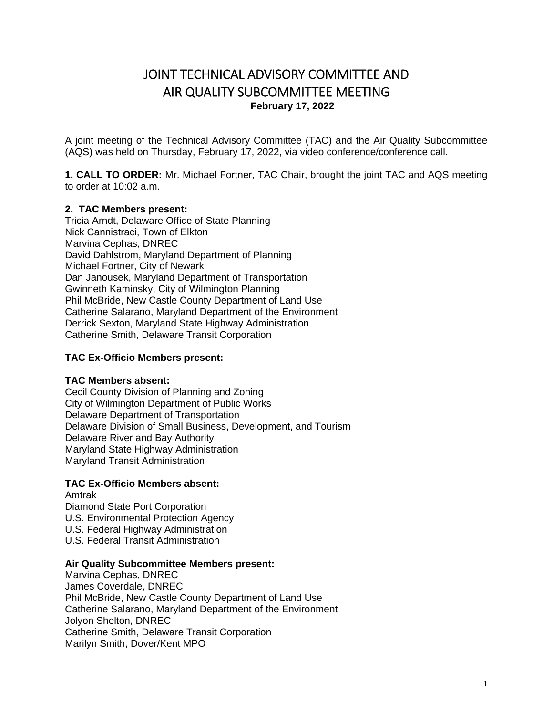# JOINT TECHNICAL ADVISORY COMMITTEE AND AIR QUALITY SUBCOMMITTEE MEETING **February 17, 2022**

A joint meeting of the Technical Advisory Committee (TAC) and the Air Quality Subcommittee (AQS) was held on Thursday, February 17, 2022, via video conference/conference call.

**1. CALL TO ORDER:** Mr. Michael Fortner, TAC Chair, brought the joint TAC and AQS meeting to order at 10:02 a.m.

### **2. TAC Members present:**

Tricia Arndt, Delaware Office of State Planning Nick Cannistraci, Town of Elkton Marvina Cephas, DNREC David Dahlstrom, Maryland Department of Planning Michael Fortner, City of Newark Dan Janousek, Maryland Department of Transportation Gwinneth Kaminsky, City of Wilmington Planning Phil McBride, New Castle County Department of Land Use Catherine Salarano, Maryland Department of the Environment Derrick Sexton, Maryland State Highway Administration Catherine Smith, Delaware Transit Corporation

### **TAC Ex-Officio Members present:**

### **TAC Members absent:**

Cecil County Division of Planning and Zoning City of Wilmington Department of Public Works Delaware Department of Transportation Delaware Division of Small Business, Development, and Tourism Delaware River and Bay Authority Maryland State Highway Administration Maryland Transit Administration

### **TAC Ex-Officio Members absent:**

Amtrak Diamond State Port Corporation U.S. Environmental Protection Agency U.S. Federal Highway Administration U.S. Federal Transit Administration

### **Air Quality Subcommittee Members present:**

Marvina Cephas, DNREC James Coverdale, DNREC Phil McBride, New Castle County Department of Land Use Catherine Salarano, Maryland Department of the Environment Jolyon Shelton, DNREC Catherine Smith, Delaware Transit Corporation Marilyn Smith, Dover/Kent MPO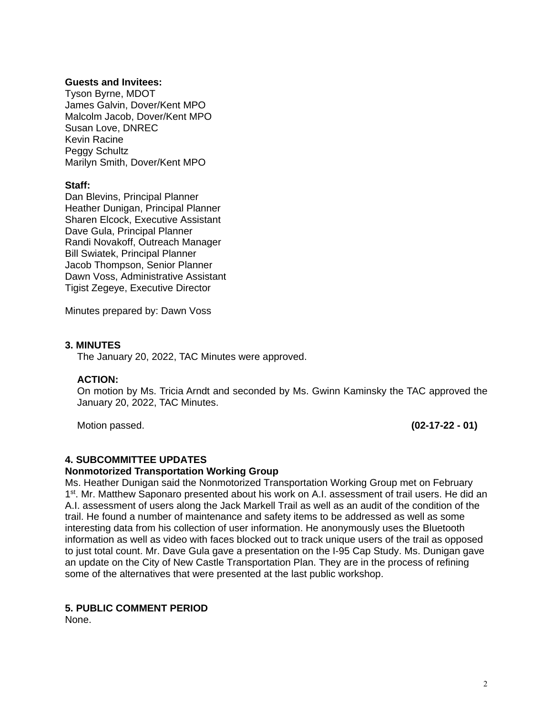### **Guests and Invitees:**

Tyson Byrne, MDOT James Galvin, Dover/Kent MPO Malcolm Jacob, Dover/Kent MPO Susan Love, DNREC Kevin Racine Peggy Schultz Marilyn Smith, Dover/Kent MPO

### **Staff:**

Dan Blevins, Principal Planner Heather Dunigan, Principal Planner Sharen Elcock, Executive Assistant Dave Gula, Principal Planner Randi Novakoff, Outreach Manager Bill Swiatek, Principal Planner Jacob Thompson, Senior Planner Dawn Voss, Administrative Assistant Tigist Zegeye, Executive Director

Minutes prepared by: Dawn Voss

### **3. MINUTES**

The January 20, 2022, TAC Minutes were approved.

### **ACTION:**

On motion by Ms. Tricia Arndt and seconded by Ms. Gwinn Kaminsky the TAC approved the January 20, 2022, TAC Minutes.

Motion passed. **(02-17-22 - 01)** 

### **4. SUBCOMMITTEE UPDATES**

### **Nonmotorized Transportation Working Group**

Ms. Heather Dunigan said the Nonmotorized Transportation Working Group met on February 1<sup>st</sup>. Mr. Matthew Saponaro presented about his work on A.I. assessment of trail users. He did an A.I. assessment of users along the Jack Markell Trail as well as an audit of the condition of the trail. He found a number of maintenance and safety items to be addressed as well as some interesting data from his collection of user information. He anonymously uses the Bluetooth information as well as video with faces blocked out to track unique users of the trail as opposed to just total count. Mr. Dave Gula gave a presentation on the I-95 Cap Study. Ms. Dunigan gave an update on the City of New Castle Transportation Plan. They are in the process of refining some of the alternatives that were presented at the last public workshop.

### **5. PUBLIC COMMENT PERIOD**

None.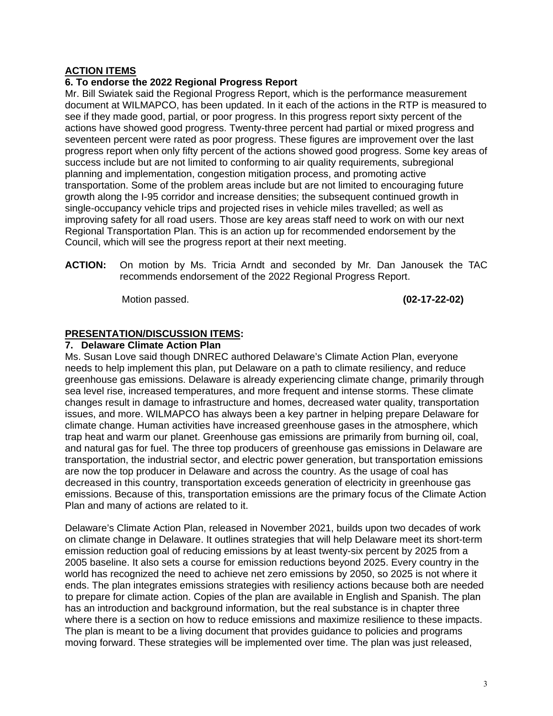### **ACTION ITEMS**

### **6. To endorse the 2022 Regional Progress Report**

Mr. Bill Swiatek said the Regional Progress Report, which is the performance measurement document at WILMAPCO, has been updated. In it each of the actions in the RTP is measured to see if they made good, partial, or poor progress. In this progress report sixty percent of the actions have showed good progress. Twenty-three percent had partial or mixed progress and seventeen percent were rated as poor progress. These figures are improvement over the last progress report when only fifty percent of the actions showed good progress. Some key areas of success include but are not limited to conforming to air quality requirements, subregional planning and implementation, congestion mitigation process, and promoting active transportation. Some of the problem areas include but are not limited to encouraging future growth along the I-95 corridor and increase densities; the subsequent continued growth in single-occupancy vehicle trips and projected rises in vehicle miles travelled; as well as improving safety for all road users. Those are key areas staff need to work on with our next Regional Transportation Plan. This is an action up for recommended endorsement by the Council, which will see the progress report at their next meeting.

**ACTION:** On motion by Ms. Tricia Arndt and seconded by Mr. Dan Janousek the TAC recommends endorsement of the 2022 Regional Progress Report.

Motion passed. **(02-17-22-02)** 

### **PRESENTATION/DISCUSSION ITEMS:**

### **7. Delaware Climate Action Plan**

Ms. Susan Love said though DNREC authored Delaware's Climate Action Plan, everyone needs to help implement this plan, put Delaware on a path to climate resiliency, and reduce greenhouse gas emissions. Delaware is already experiencing climate change, primarily through sea level rise, increased temperatures, and more frequent and intense storms. These climate changes result in damage to infrastructure and homes, decreased water quality, transportation issues, and more. WILMAPCO has always been a key partner in helping prepare Delaware for climate change. Human activities have increased greenhouse gases in the atmosphere, which trap heat and warm our planet. Greenhouse gas emissions are primarily from burning oil, coal, and natural gas for fuel. The three top producers of greenhouse gas emissions in Delaware are transportation, the industrial sector, and electric power generation, but transportation emissions are now the top producer in Delaware and across the country. As the usage of coal has decreased in this country, transportation exceeds generation of electricity in greenhouse gas emissions. Because of this, transportation emissions are the primary focus of the Climate Action Plan and many of actions are related to it.

Delaware's Climate Action Plan, released in November 2021, builds upon two decades of work on climate change in Delaware. It outlines strategies that will help Delaware meet its short-term emission reduction goal of reducing emissions by at least twenty-six percent by 2025 from a 2005 baseline. It also sets a course for emission reductions beyond 2025. Every country in the world has recognized the need to achieve net zero emissions by 2050, so 2025 is not where it ends. The plan integrates emissions strategies with resiliency actions because both are needed to prepare for climate action. Copies of the plan are available in English and Spanish. The plan has an introduction and background information, but the real substance is in chapter three where there is a section on how to reduce emissions and maximize resilience to these impacts. The plan is meant to be a living document that provides guidance to policies and programs moving forward. These strategies will be implemented over time. The plan was just released,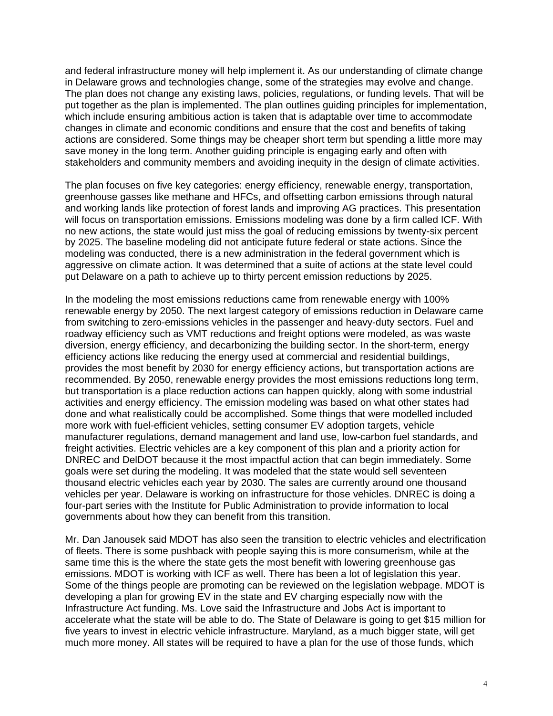and federal infrastructure money will help implement it. As our understanding of climate change in Delaware grows and technologies change, some of the strategies may evolve and change. The plan does not change any existing laws, policies, regulations, or funding levels. That will be put together as the plan is implemented. The plan outlines guiding principles for implementation, which include ensuring ambitious action is taken that is adaptable over time to accommodate changes in climate and economic conditions and ensure that the cost and benefits of taking actions are considered. Some things may be cheaper short term but spending a little more may save money in the long term. Another guiding principle is engaging early and often with stakeholders and community members and avoiding inequity in the design of climate activities.

The plan focuses on five key categories: energy efficiency, renewable energy, transportation, greenhouse gasses like methane and HFCs, and offsetting carbon emissions through natural and working lands like protection of forest lands and improving AG practices. This presentation will focus on transportation emissions. Emissions modeling was done by a firm called ICF. With no new actions, the state would just miss the goal of reducing emissions by twenty-six percent by 2025. The baseline modeling did not anticipate future federal or state actions. Since the modeling was conducted, there is a new administration in the federal government which is aggressive on climate action. It was determined that a suite of actions at the state level could put Delaware on a path to achieve up to thirty percent emission reductions by 2025.

In the modeling the most emissions reductions came from renewable energy with 100% renewable energy by 2050. The next largest category of emissions reduction in Delaware came from switching to zero-emissions vehicles in the passenger and heavy-duty sectors. Fuel and roadway efficiency such as VMT reductions and freight options were modeled, as was waste diversion, energy efficiency, and decarbonizing the building sector. In the short-term, energy efficiency actions like reducing the energy used at commercial and residential buildings, provides the most benefit by 2030 for energy efficiency actions, but transportation actions are recommended. By 2050, renewable energy provides the most emissions reductions long term, but transportation is a place reduction actions can happen quickly, along with some industrial activities and energy efficiency. The emission modeling was based on what other states had done and what realistically could be accomplished. Some things that were modelled included more work with fuel-efficient vehicles, setting consumer EV adoption targets, vehicle manufacturer regulations, demand management and land use, low-carbon fuel standards, and freight activities. Electric vehicles are a key component of this plan and a priority action for DNREC and DelDOT because it the most impactful action that can begin immediately. Some goals were set during the modeling. It was modeled that the state would sell seventeen thousand electric vehicles each year by 2030. The sales are currently around one thousand vehicles per year. Delaware is working on infrastructure for those vehicles. DNREC is doing a four-part series with the Institute for Public Administration to provide information to local governments about how they can benefit from this transition.

Mr. Dan Janousek said MDOT has also seen the transition to electric vehicles and electrification of fleets. There is some pushback with people saying this is more consumerism, while at the same time this is the where the state gets the most benefit with lowering greenhouse gas emissions. MDOT is working with ICF as well. There has been a lot of legislation this year. Some of the things people are promoting can be reviewed on the legislation webpage. MDOT is developing a plan for growing EV in the state and EV charging especially now with the Infrastructure Act funding. Ms. Love said the Infrastructure and Jobs Act is important to accelerate what the state will be able to do. The State of Delaware is going to get \$15 million for five years to invest in electric vehicle infrastructure. Maryland, as a much bigger state, will get much more money. All states will be required to have a plan for the use of those funds, which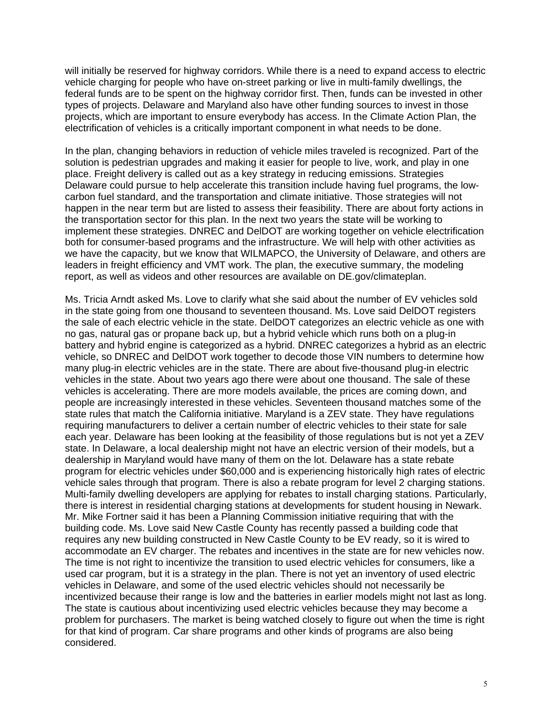will initially be reserved for highway corridors. While there is a need to expand access to electric vehicle charging for people who have on-street parking or live in multi-family dwellings, the federal funds are to be spent on the highway corridor first. Then, funds can be invested in other types of projects. Delaware and Maryland also have other funding sources to invest in those projects, which are important to ensure everybody has access. In the Climate Action Plan, the electrification of vehicles is a critically important component in what needs to be done.

In the plan, changing behaviors in reduction of vehicle miles traveled is recognized. Part of the solution is pedestrian upgrades and making it easier for people to live, work, and play in one place. Freight delivery is called out as a key strategy in reducing emissions. Strategies Delaware could pursue to help accelerate this transition include having fuel programs, the lowcarbon fuel standard, and the transportation and climate initiative. Those strategies will not happen in the near term but are listed to assess their feasibility. There are about forty actions in the transportation sector for this plan. In the next two years the state will be working to implement these strategies. DNREC and DelDOT are working together on vehicle electrification both for consumer-based programs and the infrastructure. We will help with other activities as we have the capacity, but we know that WILMAPCO, the University of Delaware, and others are leaders in freight efficiency and VMT work. The plan, the executive summary, the modeling report, as well as videos and other resources are available on DE.gov/climateplan.

Ms. Tricia Arndt asked Ms. Love to clarify what she said about the number of EV vehicles sold in the state going from one thousand to seventeen thousand. Ms. Love said DelDOT registers the sale of each electric vehicle in the state. DelDOT categorizes an electric vehicle as one with no gas, natural gas or propane back up, but a hybrid vehicle which runs both on a plug-in battery and hybrid engine is categorized as a hybrid. DNREC categorizes a hybrid as an electric vehicle, so DNREC and DelDOT work together to decode those VIN numbers to determine how many plug-in electric vehicles are in the state. There are about five-thousand plug-in electric vehicles in the state. About two years ago there were about one thousand. The sale of these vehicles is accelerating. There are more models available, the prices are coming down, and people are increasingly interested in these vehicles. Seventeen thousand matches some of the state rules that match the California initiative. Maryland is a ZEV state. They have regulations requiring manufacturers to deliver a certain number of electric vehicles to their state for sale each year. Delaware has been looking at the feasibility of those regulations but is not yet a ZEV state. In Delaware, a local dealership might not have an electric version of their models, but a dealership in Maryland would have many of them on the lot. Delaware has a state rebate program for electric vehicles under \$60,000 and is experiencing historically high rates of electric vehicle sales through that program. There is also a rebate program for level 2 charging stations. Multi-family dwelling developers are applying for rebates to install charging stations. Particularly, there is interest in residential charging stations at developments for student housing in Newark. Mr. Mike Fortner said it has been a Planning Commission initiative requiring that with the building code. Ms. Love said New Castle County has recently passed a building code that requires any new building constructed in New Castle County to be EV ready, so it is wired to accommodate an EV charger. The rebates and incentives in the state are for new vehicles now. The time is not right to incentivize the transition to used electric vehicles for consumers, like a used car program, but it is a strategy in the plan. There is not yet an inventory of used electric vehicles in Delaware, and some of the used electric vehicles should not necessarily be incentivized because their range is low and the batteries in earlier models might not last as long. The state is cautious about incentivizing used electric vehicles because they may become a problem for purchasers. The market is being watched closely to figure out when the time is right for that kind of program. Car share programs and other kinds of programs are also being considered.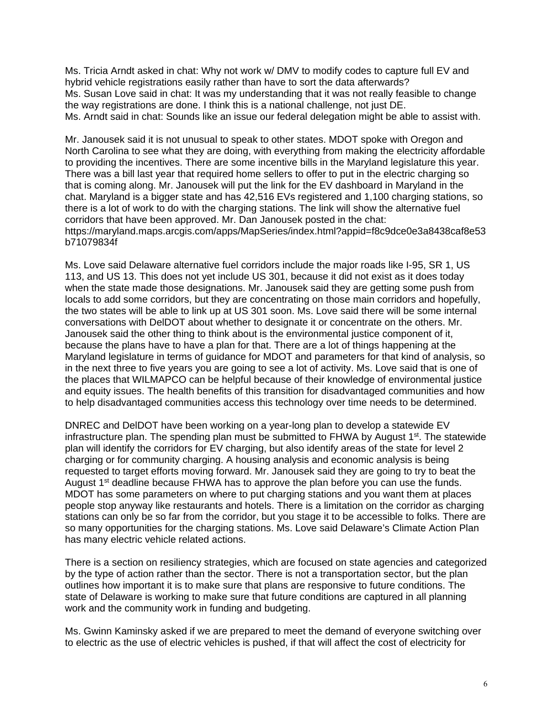Ms. Tricia Arndt asked in chat: Why not work w/ DMV to modify codes to capture full EV and hybrid vehicle registrations easily rather than have to sort the data afterwards? Ms. Susan Love said in chat: It was my understanding that it was not really feasible to change the way registrations are done. I think this is a national challenge, not just DE. Ms. Arndt said in chat: Sounds like an issue our federal delegation might be able to assist with.

Mr. Janousek said it is not unusual to speak to other states. MDOT spoke with Oregon and North Carolina to see what they are doing, with everything from making the electricity affordable to providing the incentives. There are some incentive bills in the Maryland legislature this year. There was a bill last year that required home sellers to offer to put in the electric charging so that is coming along. Mr. Janousek will put the link for the EV dashboard in Maryland in the chat. Maryland is a bigger state and has 42,516 EVs registered and 1,100 charging stations, so there is a lot of work to do with the charging stations. The link will show the alternative fuel corridors that have been approved. Mr. Dan Janousek posted in the chat: https://maryland.maps.arcgis.com/apps/MapSeries/index.html?appid=f8c9dce0e3a8438caf8e53 b71079834f

Ms. Love said Delaware alternative fuel corridors include the major roads like I-95, SR 1, US 113, and US 13. This does not yet include US 301, because it did not exist as it does today when the state made those designations. Mr. Janousek said they are getting some push from locals to add some corridors, but they are concentrating on those main corridors and hopefully, the two states will be able to link up at US 301 soon. Ms. Love said there will be some internal conversations with DelDOT about whether to designate it or concentrate on the others. Mr. Janousek said the other thing to think about is the environmental justice component of it, because the plans have to have a plan for that. There are a lot of things happening at the Maryland legislature in terms of guidance for MDOT and parameters for that kind of analysis, so in the next three to five years you are going to see a lot of activity. Ms. Love said that is one of the places that WILMAPCO can be helpful because of their knowledge of environmental justice and equity issues. The health benefits of this transition for disadvantaged communities and how to help disadvantaged communities access this technology over time needs to be determined.

DNREC and DelDOT have been working on a year-long plan to develop a statewide EV infrastructure plan. The spending plan must be submitted to FHWA by August  $1<sup>st</sup>$ . The statewide plan will identify the corridors for EV charging, but also identify areas of the state for level 2 charging or for community charging. A housing analysis and economic analysis is being requested to target efforts moving forward. Mr. Janousek said they are going to try to beat the August  $1<sup>st</sup>$  deadline because FHWA has to approve the plan before you can use the funds. MDOT has some parameters on where to put charging stations and you want them at places people stop anyway like restaurants and hotels. There is a limitation on the corridor as charging stations can only be so far from the corridor, but you stage it to be accessible to folks. There are so many opportunities for the charging stations. Ms. Love said Delaware's Climate Action Plan has many electric vehicle related actions.

There is a section on resiliency strategies, which are focused on state agencies and categorized by the type of action rather than the sector. There is not a transportation sector, but the plan outlines how important it is to make sure that plans are responsive to future conditions. The state of Delaware is working to make sure that future conditions are captured in all planning work and the community work in funding and budgeting.

Ms. Gwinn Kaminsky asked if we are prepared to meet the demand of everyone switching over to electric as the use of electric vehicles is pushed, if that will affect the cost of electricity for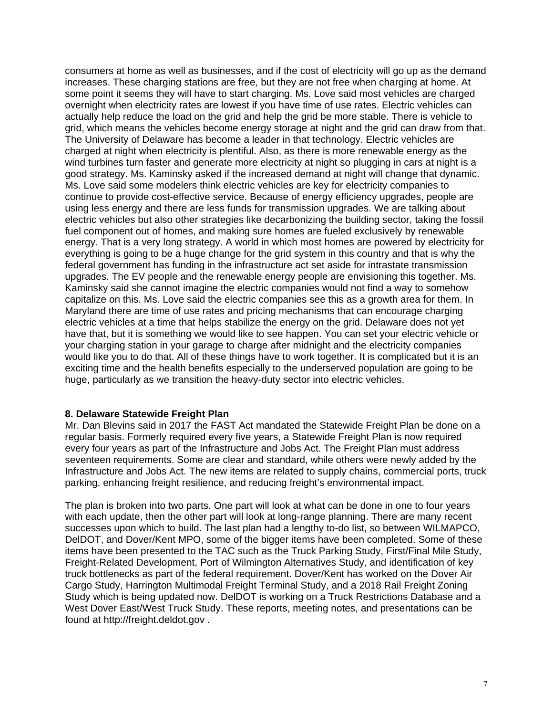consumers at home as well as businesses, and if the cost of electricity will go up as the demand increases. These charging stations are free, but they are not free when charging at home. At some point it seems they will have to start charging. Ms. Love said most vehicles are charged overnight when electricity rates are lowest if you have time of use rates. Electric vehicles can actually help reduce the load on the grid and help the grid be more stable. There is vehicle to grid, which means the vehicles become energy storage at night and the grid can draw from that. The University of Delaware has become a leader in that technology. Electric vehicles are charged at night when electricity is plentiful. Also, as there is more renewable energy as the wind turbines turn faster and generate more electricity at night so plugging in cars at night is a good strategy. Ms. Kaminsky asked if the increased demand at night will change that dynamic. Ms. Love said some modelers think electric vehicles are key for electricity companies to continue to provide cost-effective service. Because of energy efficiency upgrades, people are using less energy and there are less funds for transmission upgrades. We are talking about electric vehicles but also other strategies like decarbonizing the building sector, taking the fossil fuel component out of homes, and making sure homes are fueled exclusively by renewable energy. That is a very long strategy. A world in which most homes are powered by electricity for everything is going to be a huge change for the grid system in this country and that is why the federal government has funding in the infrastructure act set aside for intrastate transmission upgrades. The EV people and the renewable energy people are envisioning this together. Ms. Kaminsky said she cannot imagine the electric companies would not find a way to somehow capitalize on this. Ms. Love said the electric companies see this as a growth area for them. In Maryland there are time of use rates and pricing mechanisms that can encourage charging electric vehicles at a time that helps stabilize the energy on the grid. Delaware does not yet have that, but it is something we would like to see happen. You can set your electric vehicle or your charging station in your garage to charge after midnight and the electricity companies would like you to do that. All of these things have to work together. It is complicated but it is an exciting time and the health benefits especially to the underserved population are going to be huge, particularly as we transition the heavy-duty sector into electric vehicles.

### **8. Delaware Statewide Freight Plan**

Mr. Dan Blevins said in 2017 the FAST Act mandated the Statewide Freight Plan be done on a regular basis. Formerly required every five years, a Statewide Freight Plan is now required every four years as part of the Infrastructure and Jobs Act. The Freight Plan must address seventeen requirements. Some are clear and standard, while others were newly added by the Infrastructure and Jobs Act. The new items are related to supply chains, commercial ports, truck parking, enhancing freight resilience, and reducing freight's environmental impact.

The plan is broken into two parts. One part will look at what can be done in one to four years with each update, then the other part will look at long-range planning. There are many recent successes upon which to build. The last plan had a lengthy to-do list, so between WILMAPCO, DelDOT, and Dover/Kent MPO, some of the bigger items have been completed. Some of these items have been presented to the TAC such as the Truck Parking Study, First/Final Mile Study, Freight-Related Development, Port of Wilmington Alternatives Study, and identification of key truck bottlenecks as part of the federal requirement. Dover/Kent has worked on the Dover Air Cargo Study, Harrington Multimodal Freight Terminal Study, and a 2018 Rail Freight Zoning Study which is being updated now. DelDOT is working on a Truck Restrictions Database and a West Dover East/West Truck Study. These reports, meeting notes, and presentations can be found at http://freight.deldot.gov .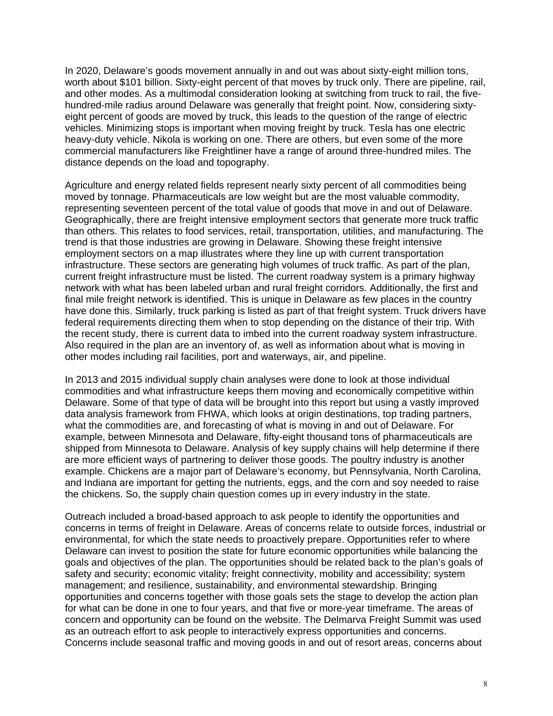In 2020, Delaware's goods movement annually in and out was about sixty-eight million tons, worth about \$101 billion. Sixty-eight percent of that moves by truck only. There are pipeline, rail, and other modes. As a multimodal consideration looking at switching from truck to rail, the fivehundred-mile radius around Delaware was generally that freight point. Now, considering sixtyeight percent of goods are moved by truck, this leads to the question of the range of electric vehicles. Minimizing stops is important when moving freight by truck. Tesla has one electric heavy-duty vehicle. Nikola is working on one. There are others, but even some of the more commercial manufacturers like Freightliner have a range of around three-hundred miles. The distance depends on the load and topography.

Agriculture and energy related fields represent nearly sixty percent of all commodities being moved by tonnage. Pharmaceuticals are low weight but are the most valuable commodity, representing seventeen percent of the total value of goods that move in and out of Delaware. Geographically, there are freight intensive employment sectors that generate more truck traffic than others. This relates to food services, retail, transportation, utilities, and manufacturing. The trend is that those industries are growing in Delaware. Showing these freight intensive employment sectors on a map illustrates where they line up with current transportation infrastructure. These sectors are generating high volumes of truck traffic. As part of the plan, current freight infrastructure must be listed. The current roadway system is a primary highway network with what has been labeled urban and rural freight corridors. Additionally, the first and final mile freight network is identified. This is unique in Delaware as few places in the country have done this. Similarly, truck parking is listed as part of that freight system. Truck drivers have federal requirements directing them when to stop depending on the distance of their trip. With the recent study, there is current data to imbed into the current roadway system infrastructure. Also required in the plan are an inventory of, as well as information about what is moving in other modes including rail facilities, port and waterways, air, and pipeline.

In 2013 and 2015 individual supply chain analyses were done to look at those individual commodities and what infrastructure keeps them moving and economically competitive within Delaware. Some of that type of data will be brought into this report but using a vastly improved data analysis framework from FHWA, which looks at origin destinations, top trading partners, what the commodities are, and forecasting of what is moving in and out of Delaware. For example, between Minnesota and Delaware, fifty-eight thousand tons of pharmaceuticals are shipped from Minnesota to Delaware. Analysis of key supply chains will help determine if there are more efficient ways of partnering to deliver those goods. The poultry industry is another example. Chickens are a major part of Delaware's economy, but Pennsylvania, North Carolina, and Indiana are important for getting the nutrients, eggs, and the corn and soy needed to raise the chickens. So, the supply chain question comes up in every industry in the state.

Outreach included a broad-based approach to ask people to identify the opportunities and concerns in terms of freight in Delaware. Areas of concerns relate to outside forces, industrial or environmental, for which the state needs to proactively prepare. Opportunities refer to where Delaware can invest to position the state for future economic opportunities while balancing the goals and objectives of the plan. The opportunities should be related back to the plan's goals of safety and security; economic vitality; freight connectivity, mobility and accessibility; system management; and resilience, sustainability, and environmental stewardship. Bringing opportunities and concerns together with those goals sets the stage to develop the action plan for what can be done in one to four years, and that five or more-year timeframe. The areas of concern and opportunity can be found on the website. The Delmarva Freight Summit was used as an outreach effort to ask people to interactively express opportunities and concerns. Concerns include seasonal traffic and moving goods in and out of resort areas, concerns about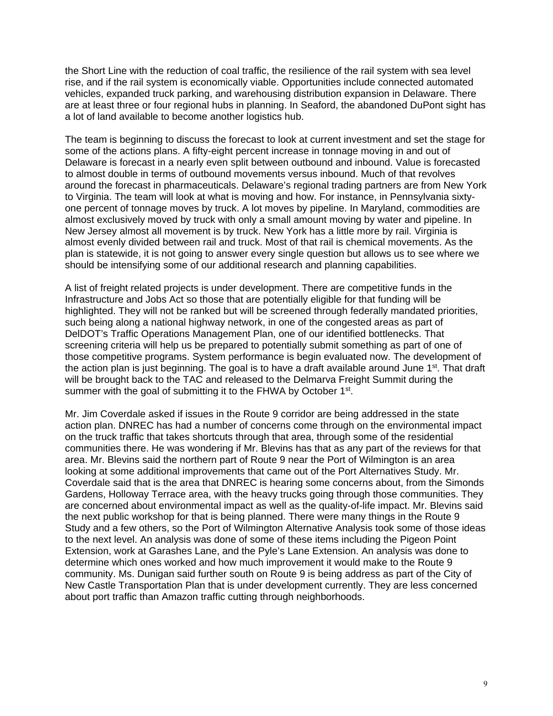the Short Line with the reduction of coal traffic, the resilience of the rail system with sea level rise, and if the rail system is economically viable. Opportunities include connected automated vehicles, expanded truck parking, and warehousing distribution expansion in Delaware. There are at least three or four regional hubs in planning. In Seaford, the abandoned DuPont sight has a lot of land available to become another logistics hub.

The team is beginning to discuss the forecast to look at current investment and set the stage for some of the actions plans. A fifty-eight percent increase in tonnage moving in and out of Delaware is forecast in a nearly even split between outbound and inbound. Value is forecasted to almost double in terms of outbound movements versus inbound. Much of that revolves around the forecast in pharmaceuticals. Delaware's regional trading partners are from New York to Virginia. The team will look at what is moving and how. For instance, in Pennsylvania sixtyone percent of tonnage moves by truck. A lot moves by pipeline. In Maryland, commodities are almost exclusively moved by truck with only a small amount moving by water and pipeline. In New Jersey almost all movement is by truck. New York has a little more by rail. Virginia is almost evenly divided between rail and truck. Most of that rail is chemical movements. As the plan is statewide, it is not going to answer every single question but allows us to see where we should be intensifying some of our additional research and planning capabilities.

A list of freight related projects is under development. There are competitive funds in the Infrastructure and Jobs Act so those that are potentially eligible for that funding will be highlighted. They will not be ranked but will be screened through federally mandated priorities, such being along a national highway network, in one of the congested areas as part of DelDOT's Traffic Operations Management Plan, one of our identified bottlenecks. That screening criteria will help us be prepared to potentially submit something as part of one of those competitive programs. System performance is begin evaluated now. The development of the action plan is just beginning. The goal is to have a draft available around June  $1<sup>st</sup>$ . That draft will be brought back to the TAC and released to the Delmarva Freight Summit during the summer with the goal of submitting it to the FHWA by October 1<sup>st</sup>.

Mr. Jim Coverdale asked if issues in the Route 9 corridor are being addressed in the state action plan. DNREC has had a number of concerns come through on the environmental impact on the truck traffic that takes shortcuts through that area, through some of the residential communities there. He was wondering if Mr. Blevins has that as any part of the reviews for that area. Mr. Blevins said the northern part of Route 9 near the Port of Wilmington is an area looking at some additional improvements that came out of the Port Alternatives Study. Mr. Coverdale said that is the area that DNREC is hearing some concerns about, from the Simonds Gardens, Holloway Terrace area, with the heavy trucks going through those communities. They are concerned about environmental impact as well as the quality-of-life impact. Mr. Blevins said the next public workshop for that is being planned. There were many things in the Route 9 Study and a few others, so the Port of Wilmington Alternative Analysis took some of those ideas to the next level. An analysis was done of some of these items including the Pigeon Point Extension, work at Garashes Lane, and the Pyle's Lane Extension. An analysis was done to determine which ones worked and how much improvement it would make to the Route 9 community. Ms. Dunigan said further south on Route 9 is being address as part of the City of New Castle Transportation Plan that is under development currently. They are less concerned about port traffic than Amazon traffic cutting through neighborhoods.